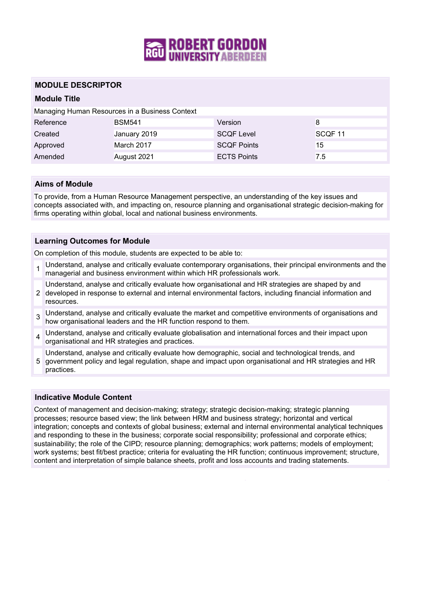

## **MODULE DESCRIPTOR**

## **Module Title**

Managing Human Resources in a Business Context

| Reference | <b>BSM541</b> | Version            | 8                  |
|-----------|---------------|--------------------|--------------------|
| Created   | January 2019  | <b>SCQF Level</b>  | SCOF <sub>11</sub> |
| Approved  | March 2017    | <b>SCOF Points</b> | 15                 |
| Amended   | August 2021   | <b>ECTS Points</b> | 7.5                |

## **Aims of Module**

To provide, from a Human Resource Management perspective, an understanding of the key issues and concepts associated with, and impacting on, resource planning and organisational strategic decision-making for firms operating within global, local and national business environments.

### **Learning Outcomes for Module**

On completion of this module, students are expected to be able to:

- 1 Understand, analyse and critically evaluate contemporary organisations, their principal environments and the managerial and business environment within which HR professionals work.
- 2 developed in response to external and internal environmental factors, including financial information and Understand, analyse and critically evaluate how organisational and HR strategies are shaped by and resources.
- 3 Understand, analyse and critically evaluate the market and competitive environments of organisations and how organisational leaders and the HR function respond to them.
- 4 Understand, analyse and critically evaluate globalisation and international forces and their impact upon organisational and HR strategies and practices.
- Understand, analyse and critically evaluate how demographic, social and technological trends, and
- 5 government policy and legal regulation, shape and impact upon organisational and HR strategies and HR practices.

#### **Indicative Module Content**

Context of management and decision-making; strategy; strategic decision-making; strategic planning processes; resource based view; the link between HRM and business strategy; horizontal and vertical integration; concepts and contexts of global business; external and internal environmental analytical techniques and responding to these in the business; corporate social responsibility; professional and corporate ethics; sustainability; the role of the CIPD; resource planning; demographics; work patterns; models of employment; work systems; best fit/best practice; criteria for evaluating the HR function; continuous improvement; structure, content and interpretation of simple balance sheets, profit and loss accounts and trading statements.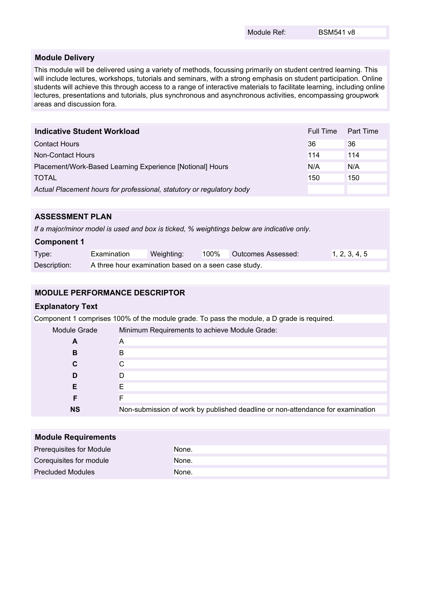#### **Module Delivery**

This module will be delivered using a variety of methods, focussing primarily on student centred learning. This will include lectures, workshops, tutorials and seminars, with a strong emphasis on student participation. Online students will achieve this through access to a range of interactive materials to facilitate learning, including online lectures, presentations and tutorials, plus synchronous and asynchronous activities, encompassing groupwork areas and discussion fora.

| <b>Indicative Student Workload</b>                                    | Full Time | Part Time |
|-----------------------------------------------------------------------|-----------|-----------|
| <b>Contact Hours</b>                                                  | 36        | 36        |
| Non-Contact Hours                                                     | 114       | 114       |
| Placement/Work-Based Learning Experience [Notional] Hours             | N/A       | N/A       |
| <b>TOTAL</b>                                                          | 150       | 150       |
| Actual Placement hours for professional, statutory or regulatory body |           |           |

# **ASSESSMENT PLAN**

*If a major/minor model is used and box is ticked, % weightings below are indicative only.*

| <b>Component 1</b> |                                                      |            |      |                    |               |
|--------------------|------------------------------------------------------|------------|------|--------------------|---------------|
| Type:              | Examination                                          | Weighting: | 100% | Outcomes Assessed: | 1, 2, 3, 4, 5 |
| Description:       | A three hour examination based on a seen case study. |            |      |                    |               |

# **MODULE PERFORMANCE DESCRIPTOR**

## **Explanatory Text**

Component 1 comprises 100% of the module grade. To pass the module, a D grade is required.

| Module Grade | Minimum Requirements to achieve Module Grade:                                  |
|--------------|--------------------------------------------------------------------------------|
| A            | A                                                                              |
| В            | B                                                                              |
|              |                                                                                |
| D            |                                                                                |
|              |                                                                                |
|              |                                                                                |
| <b>NS</b>    | Non-submission of work by published deadline or non-attendance for examination |

| <b>Module Requirements</b> |       |  |  |
|----------------------------|-------|--|--|
| Prerequisites for Module   | None. |  |  |
| Corequisites for module    | None. |  |  |
| <b>Precluded Modules</b>   | None. |  |  |